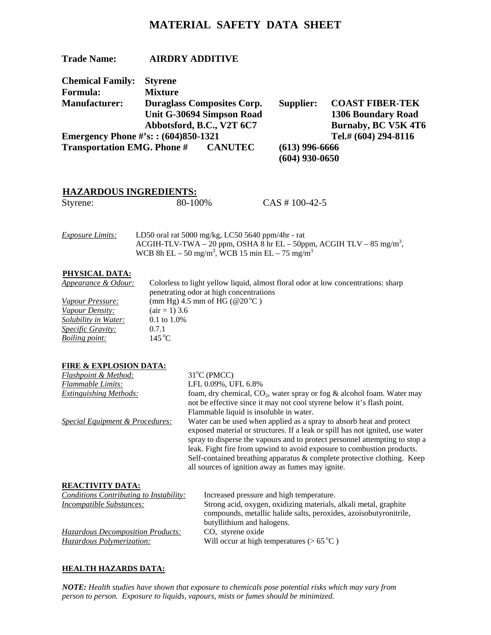# **MATERIAL SAFETY DATA SHEET**

| <b>Trade Name:</b>                                   | <b>AIRDRY ADDITIVE</b>            |                  |                  |                           |
|------------------------------------------------------|-----------------------------------|------------------|------------------|---------------------------|
| <b>Chemical Family:</b>                              | <b>Styrene</b>                    |                  |                  |                           |
| <b>Formula:</b>                                      | <b>Mixture</b>                    |                  |                  |                           |
| <b>Manufacturer:</b>                                 | <b>Duraglass Composites Corp.</b> |                  | Supplier:        | <b>COAST FIBER-TEK</b>    |
|                                                      | Unit G-30694 Simpson Road         |                  |                  | <b>1306 Boundary Road</b> |
|                                                      | Abbotsford, B.C., V2T 6C7         |                  |                  | Burnaby, BC V5K 4T6       |
| Emergency Phone $\#$ 's: : (604)850-1321             |                                   |                  |                  | Tel.# (604) 294-8116      |
| <b>Transportation EMG. Phone #</b><br><b>CANUTEC</b> |                                   | $(613)$ 996-6666 |                  |                           |
|                                                      |                                   |                  | $(604)$ 930-0650 |                           |

## **HAZARDOUS INGREDIENTS:**

| 80-100%<br>Styrene: |  |                   |
|---------------------|--|-------------------|
|                     |  | $CAS \# 100-42-5$ |

| <i><b>Exposure Limits:</b></i> | LD50 oral rat 5000 mg/kg, LC50 5640 ppm/4hr - rat                                |
|--------------------------------|----------------------------------------------------------------------------------|
|                                | ACGIH-TLV-TWA – 20 ppm, OSHA 8 hr EL – 50ppm, ACGIH TLV – 85 mg/m <sup>3</sup> , |
|                                | WCB 8h EL – 50 mg/m <sup>3</sup> , WCB 15 min EL – 75 mg/m <sup>3</sup>          |

## **PHYSICAL DATA:**

| Appearance & Odour:         | Colorless to light yellow liquid, almost floral odor at low concentrations: sharp |
|-----------------------------|-----------------------------------------------------------------------------------|
|                             | penetrating odor at high concentrations                                           |
| Vapour Pressure:            | (mm Hg) 4.5 mm of HG ( $@20\textdegree$ C)                                        |
| <i>Vapour Density:</i>      | $(air = 1) 3.6$                                                                   |
| <i>Solubility in Water:</i> | $0.1 \text{ to } 1.0\%$                                                           |
| <i>Specific Gravity:</i>    | 0.7.1                                                                             |
| <i>Boiling point:</i>       | $145^{\circ}$ C                                                                   |

#### **FIRE & EXPLOSION DATA:**

| Flashpoint & Method:                           | 31°C (PMCC)                                                                                                                                                                                                                                                                                                                                                                                                                                    |
|------------------------------------------------|------------------------------------------------------------------------------------------------------------------------------------------------------------------------------------------------------------------------------------------------------------------------------------------------------------------------------------------------------------------------------------------------------------------------------------------------|
| <b>Flammable Limits:</b>                       | LFL 0.09%, UFL 6.8%                                                                                                                                                                                                                                                                                                                                                                                                                            |
| <b>Extinguishing Methods:</b>                  | foam, dry chemical, $CO_2$ , water spray or fog & alcohol foam. Water may<br>not be effective since it may not cool styrene below it's flash point.<br>Flammable liquid is insoluble in water.                                                                                                                                                                                                                                                 |
| Special Equipment & Procedures:                | Water can be used when applied as a spray to absorb heat and protect<br>exposed material or structures. If a leak or spill has not ignited, use water<br>spray to disperse the vapours and to protect personnel attempting to stop a<br>leak. Fight fire from upwind to avoid exposure to combustion products.<br>Self-contained breathing apparatus & complete protective clothing. Keep<br>all sources of ignition away as fumes may ignite. |
| <b>REACTIVITY DATA:</b>                        |                                                                                                                                                                                                                                                                                                                                                                                                                                                |
| <b>Conditions Contributing to Instability:</b> | Increased pressure and high temperature.                                                                                                                                                                                                                                                                                                                                                                                                       |
| <i>Incompatible Substances:</i>                | Strong acid, oxygen, oxidizing materials, alkali metal, graphite<br>compounds, metallic halide salts, peroxides, azoisobutyronitrile,<br>butyllithium and halogens.                                                                                                                                                                                                                                                                            |

Will occur at high temperatures (> 65 °C)

# *Hazardous Decomposition Products:* CO, styrene oxide

**HEALTH HAZARDS DATA:**

*NOTE: Health studies have shown that exposure to chemicals pose potential risks which may vary from person to person. Exposure to liquids, vapours, mists or fumes should be minimized.*